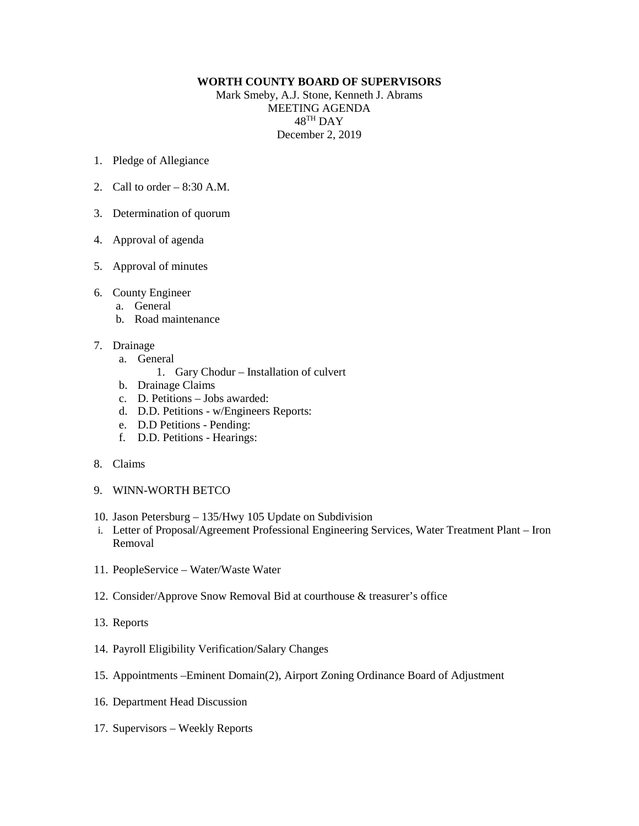## **WORTH COUNTY BOARD OF SUPERVISORS**

Mark Smeby, A.J. Stone, Kenneth J. Abrams MEETING AGENDA 48TH DAY December 2, 2019

- 1. Pledge of Allegiance
- 2. Call to order  $-8:30$  A.M.
- 3. Determination of quorum
- 4. Approval of agenda
- 5. Approval of minutes
- 6. County Engineer
	- a. General
	- b. Road maintenance
- 7. Drainage
	- a. General
		- 1. Gary Chodur Installation of culvert
	- b. Drainage Claims
	- c. D. Petitions Jobs awarded:
	- d. D.D. Petitions w/Engineers Reports:
	- e. D.D Petitions Pending:
	- f. D.D. Petitions Hearings:
- 8. Claims
- 9. WINN-WORTH BETCO
- 10. Jason Petersburg 135/Hwy 105 Update on Subdivision
- i. Letter of Proposal/Agreement Professional Engineering Services, Water Treatment Plant Iron Removal
- 11. PeopleService Water/Waste Water
- 12. Consider/Approve Snow Removal Bid at courthouse & treasurer's office
- 13. Reports
- 14. Payroll Eligibility Verification/Salary Changes
- 15. Appointments –Eminent Domain(2), Airport Zoning Ordinance Board of Adjustment
- 16. Department Head Discussion
- 17. Supervisors Weekly Reports